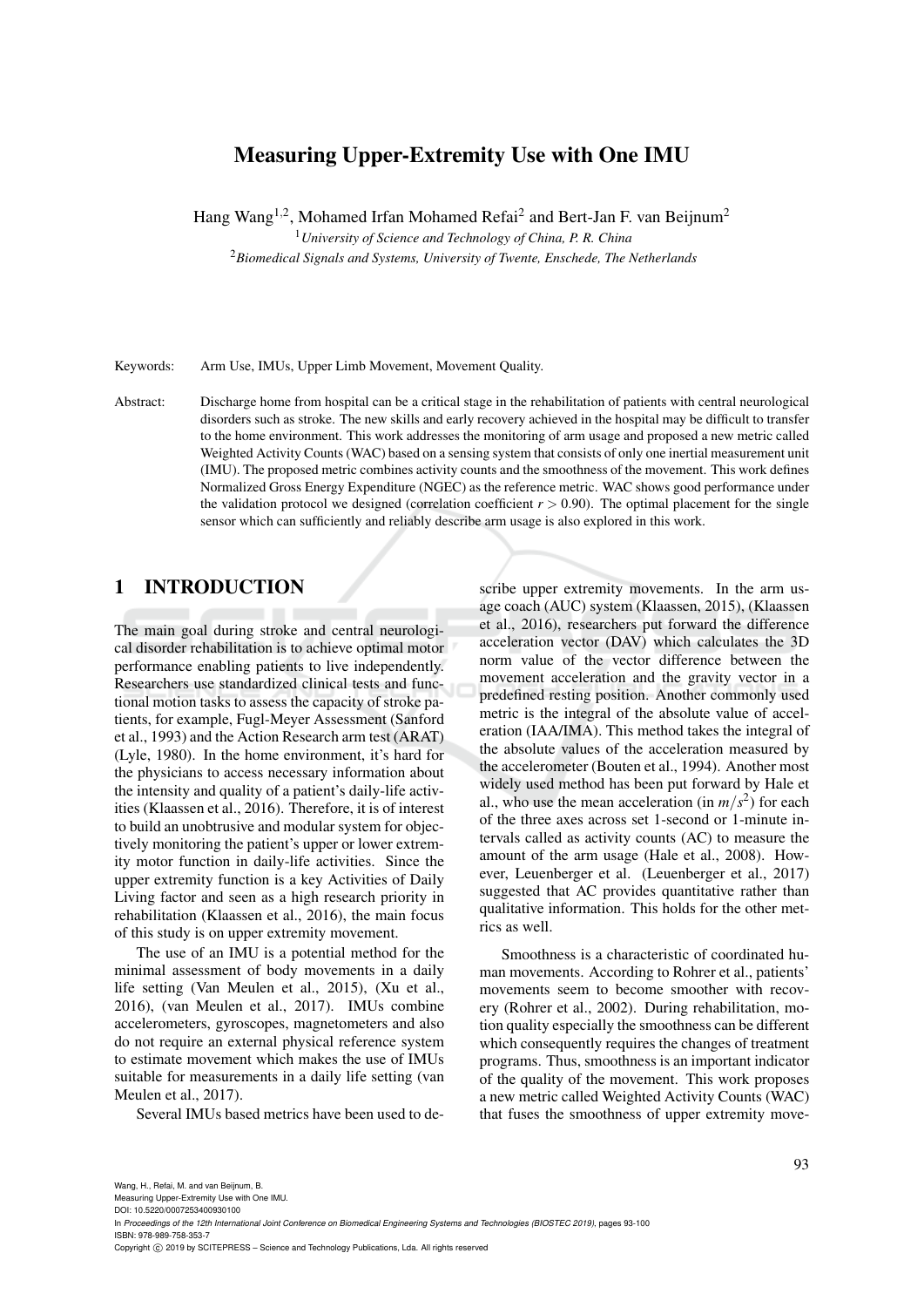# Measuring Upper-Extremity Use with One IMU

Hang Wang<sup>1,2</sup>, Mohamed Irfan Mohamed Refai<sup>2</sup> and Bert-Jan F. van Beijnum<sup>2</sup>

<sup>1</sup>*University of Science and Technology of China, P. R. China*

<sup>2</sup>*Biomedical Signals and Systems, University of Twente, Enschede, The Netherlands*

Keywords: Arm Use, IMUs, Upper Limb Movement, Movement Quality.

Abstract: Discharge home from hospital can be a critical stage in the rehabilitation of patients with central neurological disorders such as stroke. The new skills and early recovery achieved in the hospital may be difficult to transfer to the home environment. This work addresses the monitoring of arm usage and proposed a new metric called Weighted Activity Counts (WAC) based on a sensing system that consists of only one inertial measurement unit (IMU). The proposed metric combines activity counts and the smoothness of the movement. This work defines Normalized Gross Energy Expenditure (NGEC) as the reference metric. WAC shows good performance under the validation protocol we designed (correlation coefficient  $r > 0.90$ ). The optimal placement for the single sensor which can sufficiently and reliably describe arm usage is also explored in this work.

## 1 INTRODUCTION

The main goal during stroke and central neurological disorder rehabilitation is to achieve optimal motor performance enabling patients to live independently. Researchers use standardized clinical tests and functional motion tasks to assess the capacity of stroke patients, for example, Fugl-Meyer Assessment (Sanford et al., 1993) and the Action Research arm test (ARAT) (Lyle, 1980). In the home environment, it's hard for the physicians to access necessary information about the intensity and quality of a patient's daily-life activities (Klaassen et al., 2016). Therefore, it is of interest to build an unobtrusive and modular system for objectively monitoring the patient's upper or lower extremity motor function in daily-life activities. Since the upper extremity function is a key Activities of Daily Living factor and seen as a high research priority in rehabilitation (Klaassen et al., 2016), the main focus of this study is on upper extremity movement.

The use of an IMU is a potential method for the minimal assessment of body movements in a daily life setting (Van Meulen et al., 2015), (Xu et al., 2016), (van Meulen et al., 2017). IMUs combine accelerometers, gyroscopes, magnetometers and also do not require an external physical reference system to estimate movement which makes the use of IMUs suitable for measurements in a daily life setting (van Meulen et al., 2017).

Several IMUs based metrics have been used to de-

scribe upper extremity movements. In the arm usage coach (AUC) system (Klaassen, 2015), (Klaassen et al., 2016), researchers put forward the difference acceleration vector (DAV) which calculates the 3D norm value of the vector difference between the movement acceleration and the gravity vector in a predefined resting position. Another commonly used metric is the integral of the absolute value of acceleration (IAA/IMA). This method takes the integral of the absolute values of the acceleration measured by the accelerometer (Bouten et al., 1994). Another most widely used method has been put forward by Hale et al., who use the mean acceleration (in  $m/s^2$ ) for each of the three axes across set 1-second or 1-minute intervals called as activity counts (AC) to measure the amount of the arm usage (Hale et al., 2008). However, Leuenberger et al. (Leuenberger et al., 2017) suggested that AC provides quantitative rather than qualitative information. This holds for the other metrics as well.

Smoothness is a characteristic of coordinated human movements. According to Rohrer et al., patients' movements seem to become smoother with recovery (Rohrer et al., 2002). During rehabilitation, motion quality especially the smoothness can be different which consequently requires the changes of treatment programs. Thus, smoothness is an important indicator of the quality of the movement. This work proposes a new metric called Weighted Activity Counts (WAC) that fuses the smoothness of upper extremity move-

Measuring Upper-Extremity Use with One IMU.

DOI: 10.5220/0007253400930100 In *Proceedings of the 12th International Joint Conference on Biomedical Engineering Systems and Technologies (BIOSTEC 2019)*, pages 93-100 ISBN: 978-989-758-353-7

Copyright © 2019 by SCITEPRESS - Science and Technology Publications, Lda. All rights reserved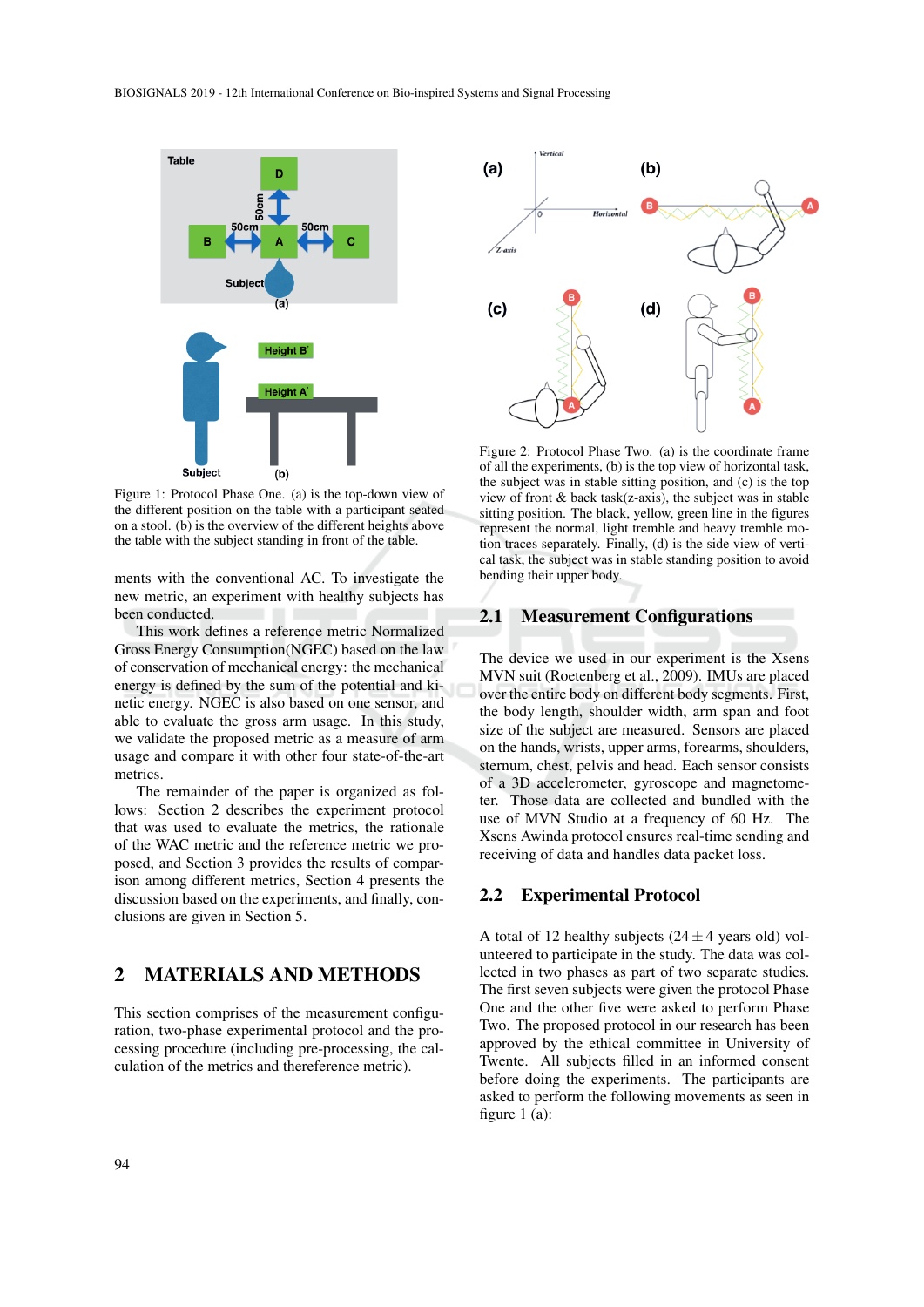

Figure 1: Protocol Phase One. (a) is the top-down view of the different position on the table with a participant seated on a stool. (b) is the overview of the different heights above the table with the subject standing in front of the table.

ments with the conventional AC. To investigate the new metric, an experiment with healthy subjects has been conducted.

This work defines a reference metric Normalized Gross Energy Consumption(NGEC) based on the law of conservation of mechanical energy: the mechanical energy is defined by the sum of the potential and kinetic energy. NGEC is also based on one sensor, and able to evaluate the gross arm usage. In this study, we validate the proposed metric as a measure of arm usage and compare it with other four state-of-the-art metrics.

The remainder of the paper is organized as follows: Section 2 describes the experiment protocol that was used to evaluate the metrics, the rationale of the WAC metric and the reference metric we proposed, and Section 3 provides the results of comparison among different metrics, Section 4 presents the discussion based on the experiments, and finally, conclusions are given in Section 5.

## 2 MATERIALS AND METHODS

This section comprises of the measurement configuration, two-phase experimental protocol and the processing procedure (including pre-processing, the calculation of the metrics and thereference metric).



Figure 2: Protocol Phase Two. (a) is the coordinate frame of all the experiments, (b) is the top view of horizontal task, the subject was in stable sitting position, and (c) is the top view of front & back task(z-axis), the subject was in stable sitting position. The black, yellow, green line in the figures represent the normal, light tremble and heavy tremble motion traces separately. Finally, (d) is the side view of vertical task, the subject was in stable standing position to avoid bending their upper body.

#### 2.1 Measurement Configurations

The device we used in our experiment is the Xsens MVN suit (Roetenberg et al., 2009). IMUs are placed over the entire body on different body segments. First, the body length, shoulder width, arm span and foot size of the subject are measured. Sensors are placed on the hands, wrists, upper arms, forearms, shoulders, sternum, chest, pelvis and head. Each sensor consists of a 3D accelerometer, gyroscope and magnetometer. Those data are collected and bundled with the use of MVN Studio at a frequency of 60 Hz. The Xsens Awinda protocol ensures real-time sending and receiving of data and handles data packet loss.

#### 2.2 Experimental Protocol

A total of 12 healthy subjects ( $24 \pm 4$  years old) volunteered to participate in the study. The data was collected in two phases as part of two separate studies. The first seven subjects were given the protocol Phase One and the other five were asked to perform Phase Two. The proposed protocol in our research has been approved by the ethical committee in University of Twente. All subjects filled in an informed consent before doing the experiments. The participants are asked to perform the following movements as seen in figure 1 (a):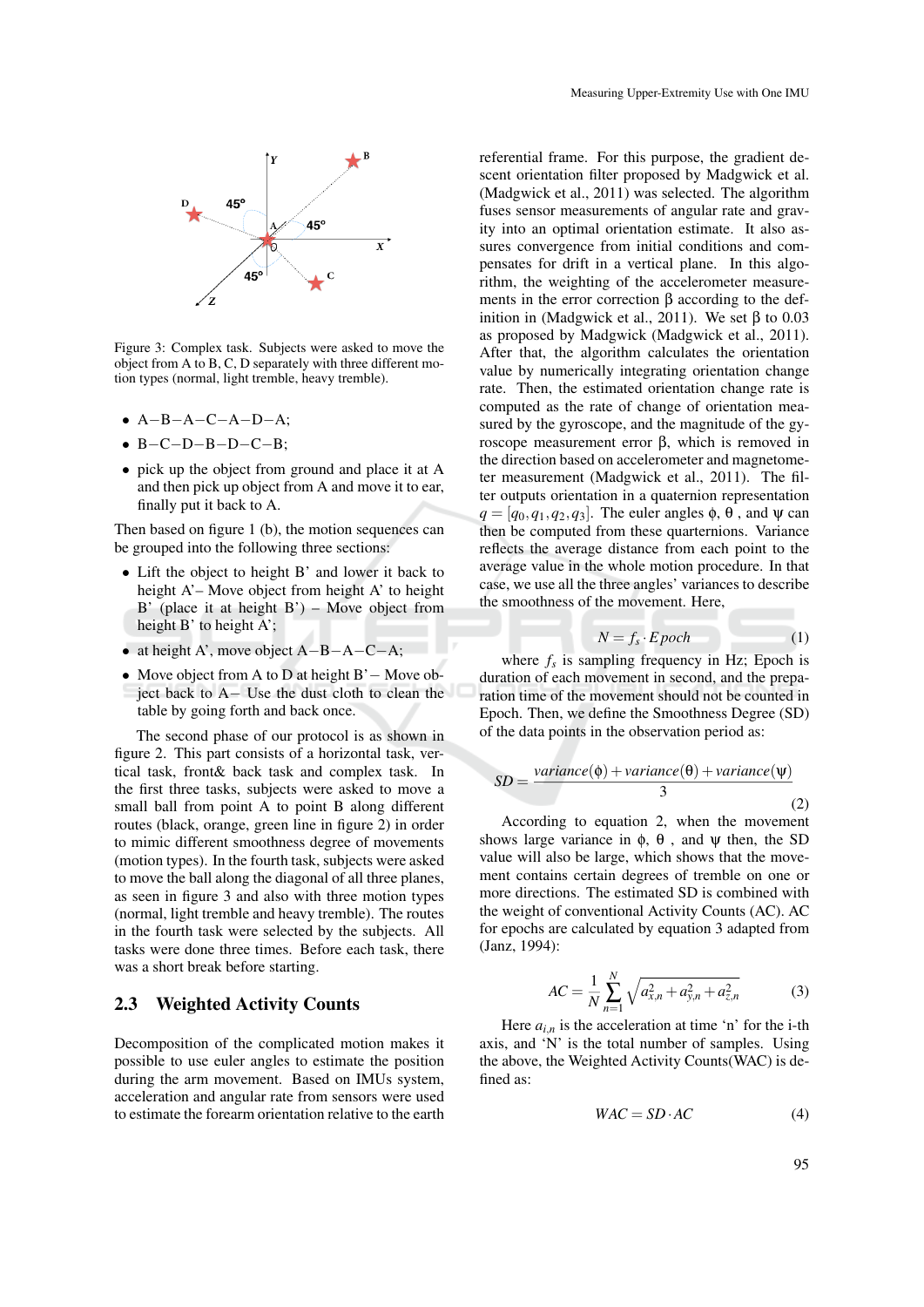

Figure 3: Complex task. Subjects were asked to move the object from A to B, C, D separately with three different motion types (normal, light tremble, heavy tremble).

- A−B−A−C−A−D−A;
- B−C−D−B−D−C−B;
- pick up the object from ground and place it at A and then pick up object from A and move it to ear, finally put it back to A.

Then based on figure 1 (b), the motion sequences can be grouped into the following three sections:

- Lift the object to height B' and lower it back to height A'– Move object from height A' to height B' (place it at height B') – Move object from height B' to height A';
- at height A', move object A−B−A−C−A;
- Move object from A to D at height B'− Move object back to A− Use the dust cloth to clean the table by going forth and back once.

The second phase of our protocol is as shown in figure 2. This part consists of a horizontal task, vertical task, front& back task and complex task. In the first three tasks, subjects were asked to move a small ball from point A to point B along different routes (black, orange, green line in figure 2) in order to mimic different smoothness degree of movements (motion types). In the fourth task, subjects were asked to move the ball along the diagonal of all three planes, as seen in figure 3 and also with three motion types (normal, light tremble and heavy tremble). The routes in the fourth task were selected by the subjects. All tasks were done three times. Before each task, there was a short break before starting.

## 2.3 Weighted Activity Counts

Decomposition of the complicated motion makes it possible to use euler angles to estimate the position during the arm movement. Based on IMUs system, acceleration and angular rate from sensors were used to estimate the forearm orientation relative to the earth

referential frame. For this purpose, the gradient descent orientation filter proposed by Madgwick et al. (Madgwick et al., 2011) was selected. The algorithm fuses sensor measurements of angular rate and gravity into an optimal orientation estimate. It also assures convergence from initial conditions and compensates for drift in a vertical plane. In this algorithm, the weighting of the accelerometer measurements in the error correction β according to the definition in (Madgwick et al., 2011). We set β to  $0.03$ as proposed by Madgwick (Madgwick et al., 2011). After that, the algorithm calculates the orientation value by numerically integrating orientation change rate. Then, the estimated orientation change rate is computed as the rate of change of orientation measured by the gyroscope, and the magnitude of the gyroscope measurement error β, which is removed in the direction based on accelerometer and magnetometer measurement (Madgwick et al., 2011). The filter outputs orientation in a quaternion representation  $q = [q_0, q_1, q_2, q_3]$ . The euler angles  $\phi$ ,  $\theta$ , and  $\psi$  can then be computed from these quarternions. Variance reflects the average distance from each point to the average value in the whole motion procedure. In that case, we use all the three angles' variances to describe the smoothness of the movement. Here,

$$
N = f_s \cdot E \, poch \tag{1}
$$

where  $f_s$  is sampling frequency in Hz; Epoch is duration of each movement in second, and the preparation time of the movement should not be counted in Epoch. Then, we define the Smoothness Degree (SD) of the data points in the observation period as:

$$
SD = \frac{variance(\phi) + variance(\theta) + variance(\psi)}{3}
$$
\n(2)

According to equation 2, when the movement shows large variance in  $\phi$ ,  $\theta$ , and  $\psi$  then, the SD value will also be large, which shows that the movement contains certain degrees of tremble on one or more directions. The estimated SD is combined with the weight of conventional Activity Counts (AC). AC for epochs are calculated by equation 3 adapted from (Janz, 1994):

$$
AC = \frac{1}{N} \sum_{n=1}^{N} \sqrt{a_{x,n}^2 + a_{y,n}^2 + a_{z,n}^2}
$$
 (3)

Here  $a_{i,n}$  is the acceleration at time 'n' for the i-th axis, and 'N' is the total number of samples. Using the above, the Weighted Activity Counts(WAC) is defined as:

$$
WAC = SD \cdot AC \tag{4}
$$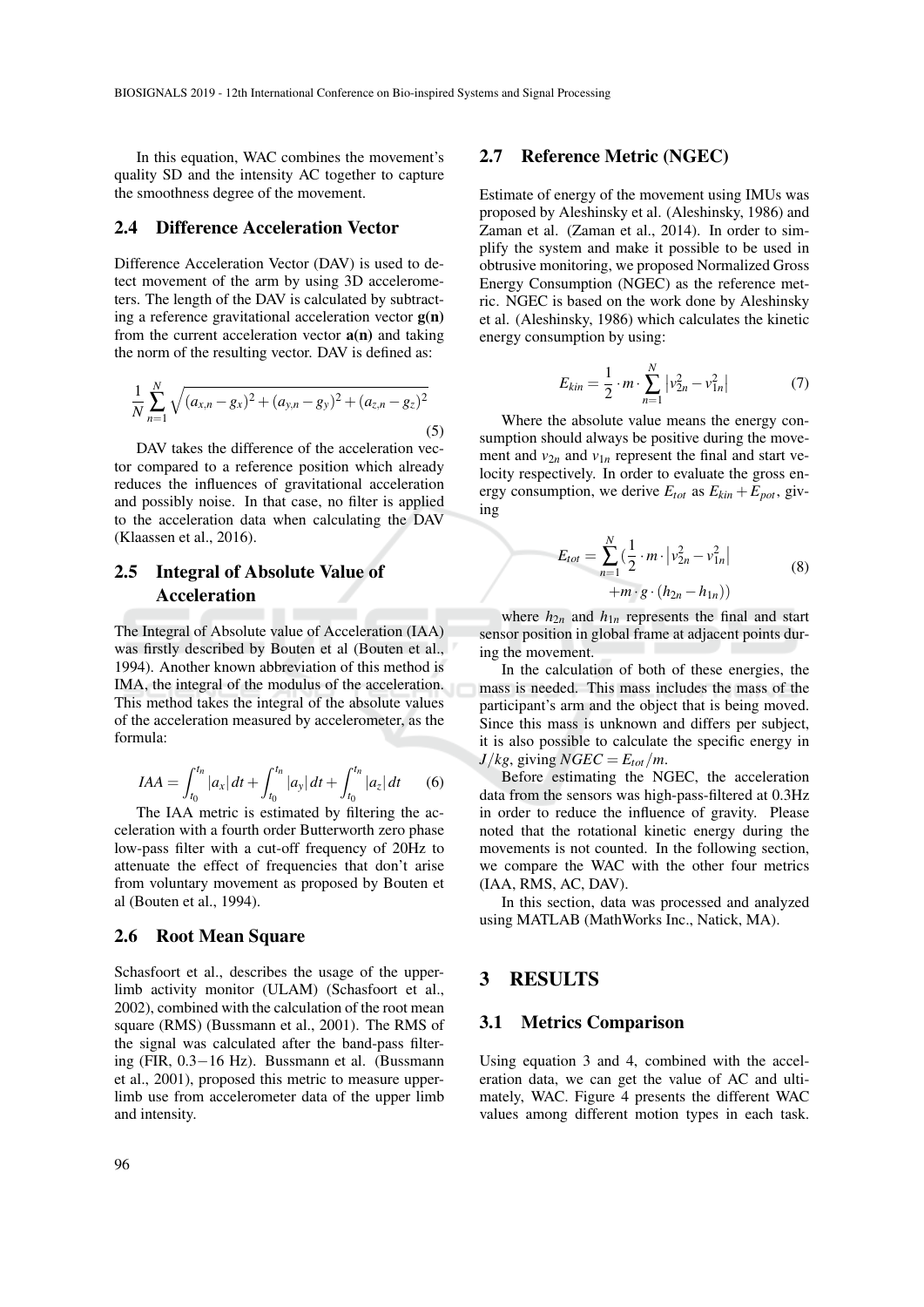In this equation, WAC combines the movement's quality SD and the intensity AC together to capture the smoothness degree of the movement.

## 2.4 Difference Acceleration Vector

Difference Acceleration Vector (DAV) is used to detect movement of the arm by using 3D accelerometers. The length of the DAV is calculated by subtracting a reference gravitational acceleration vector  $g(n)$ from the current acceleration vector  $a(n)$  and taking the norm of the resulting vector. DAV is defined as:

$$
\frac{1}{N} \sum_{n=1}^{N} \sqrt{(a_{x,n} - g_x)^2 + (a_{y,n} - g_y)^2 + (a_{z,n} - g_z)^2}
$$
\n(5)

DAV takes the difference of the acceleration vector compared to a reference position which already reduces the influences of gravitational acceleration and possibly noise. In that case, no filter is applied to the acceleration data when calculating the DAV (Klaassen et al., 2016).

## 2.5 Integral of Absolute Value of Acceleration

The Integral of Absolute value of Acceleration (IAA) was firstly described by Bouten et al (Bouten et al., 1994). Another known abbreviation of this method is IMA, the integral of the modulus of the acceleration. This method takes the integral of the absolute values of the acceleration measured by accelerometer, as the formula:

$$
IAA = \int_{t_0}^{t_n} |a_x| dt + \int_{t_0}^{t_n} |a_y| dt + \int_{t_0}^{t_n} |a_z| dt \qquad (6)
$$

The IAA metric is estimated by filtering the acceleration with a fourth order Butterworth zero phase low-pass filter with a cut-off frequency of 20Hz to attenuate the effect of frequencies that don't arise from voluntary movement as proposed by Bouten et al (Bouten et al., 1994).

### 2.6 Root Mean Square

Schasfoort et al., describes the usage of the upperlimb activity monitor (ULAM) (Schasfoort et al., 2002), combined with the calculation of the root mean square (RMS) (Bussmann et al., 2001). The RMS of the signal was calculated after the band-pass filtering (FIR, 0.3−16 Hz). Bussmann et al. (Bussmann et al., 2001), proposed this metric to measure upperlimb use from accelerometer data of the upper limb and intensity.

#### 2.7 Reference Metric (NGEC)

Estimate of energy of the movement using IMUs was proposed by Aleshinsky et al. (Aleshinsky, 1986) and Zaman et al. (Zaman et al., 2014). In order to simplify the system and make it possible to be used in obtrusive monitoring, we proposed Normalized Gross Energy Consumption (NGEC) as the reference metric. NGEC is based on the work done by Aleshinsky et al. (Aleshinsky, 1986) which calculates the kinetic energy consumption by using:

$$
E_{kin} = \frac{1}{2} \cdot m \cdot \sum_{n=1}^{N} |v_{2n}^2 - v_{1n}^2|
$$
 (7)

Where the absolute value means the energy consumption should always be positive during the movement and  $v_{2n}$  and  $v_{1n}$  represent the final and start velocity respectively. In order to evaluate the gross energy consumption, we derive  $E_{tot}$  as  $E_{kin} + E_{pot}$ , giving

$$
E_{tot} = \sum_{n=1}^{N} \left(\frac{1}{2} \cdot m \cdot \left| v_{2n}^2 - v_{1n}^2 \right| + m \cdot g \cdot (h_{2n} - h_{1n})\right)
$$
(8)

where  $h_{2n}$  and  $h_{1n}$  represents the final and start sensor position in global frame at adjacent points during the movement.

In the calculation of both of these energies, the mass is needed. This mass includes the mass of the participant's arm and the object that is being moved. Since this mass is unknown and differs per subject, it is also possible to calculate the specific energy in  $J/kg$ , giving  $NGEC = E_{tot}/m$ .

Before estimating the NGEC, the acceleration data from the sensors was high-pass-filtered at 0.3Hz in order to reduce the influence of gravity. Please noted that the rotational kinetic energy during the movements is not counted. In the following section, we compare the WAC with the other four metrics (IAA, RMS, AC, DAV).

In this section, data was processed and analyzed using MATLAB (MathWorks Inc., Natick, MA).

## 3 RESULTS

#### 3.1 Metrics Comparison

Using equation 3 and 4, combined with the acceleration data, we can get the value of AC and ultimately, WAC. Figure 4 presents the different WAC values among different motion types in each task.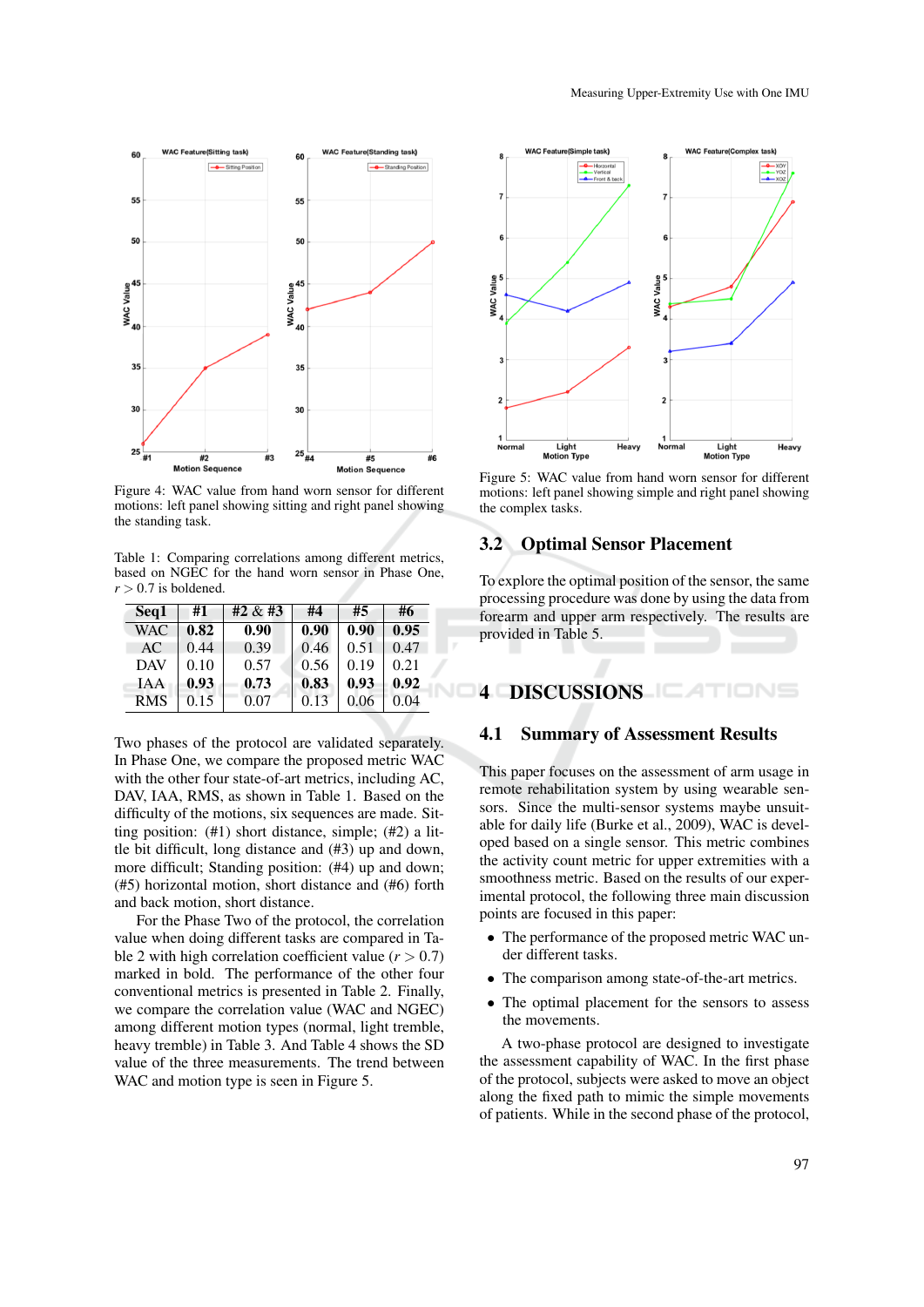

Figure 4: WAC value from hand worn sensor for different motions: left panel showing sitting and right panel showing the standing task.

Table 1: Comparing correlations among different metrics, based on NGEC for the hand worn sensor in Phase One,  $r > 0.7$  is boldened.

| Seq1       | #1   | #2 $&$ #3 | #4   | #5   | #6   |
|------------|------|-----------|------|------|------|
| WAC        | 0.82 | 0.90      | 0.90 | 0.90 | 0.95 |
| AC         | 0.44 | 0.39      | 0.46 | 0.51 | 0.47 |
| <b>DAV</b> | 0.10 | 0.57      | 0.56 | 0.19 | 0.21 |
| <b>TAA</b> | 0.93 | 0.73      | 0.83 | 0.93 | 0.92 |
| <b>RMS</b> | 0.15 | 0.07      | 0.13 | 0.06 | 0.04 |

Two phases of the protocol are validated separately. In Phase One, we compare the proposed metric WAC with the other four state-of-art metrics, including AC, DAV, IAA, RMS, as shown in Table 1. Based on the difficulty of the motions, six sequences are made. Sitting position: (#1) short distance, simple; (#2) a little bit difficult, long distance and (#3) up and down, more difficult; Standing position: (#4) up and down; (#5) horizontal motion, short distance and (#6) forth and back motion, short distance.

For the Phase Two of the protocol, the correlation value when doing different tasks are compared in Table 2 with high correlation coefficient value  $(r > 0.7)$ marked in bold. The performance of the other four conventional metrics is presented in Table 2. Finally, we compare the correlation value (WAC and NGEC) among different motion types (normal, light tremble, heavy tremble) in Table 3. And Table 4 shows the SD value of the three measurements. The trend between WAC and motion type is seen in Figure 5.



Figure 5: WAC value from hand worn sensor for different motions: left panel showing simple and right panel showing the complex tasks.

## 3.2 Optimal Sensor Placement

To explore the optimal position of the sensor, the same processing procedure was done by using the data from forearm and upper arm respectively. The results are provided in Table 5.

## 4 DISCUSSIONS **EXAMPLE**

#### 4.1 Summary of Assessment Results

This paper focuses on the assessment of arm usage in remote rehabilitation system by using wearable sensors. Since the multi-sensor systems maybe unsuitable for daily life (Burke et al., 2009), WAC is developed based on a single sensor. This metric combines the activity count metric for upper extremities with a smoothness metric. Based on the results of our experimental protocol, the following three main discussion points are focused in this paper:

- The performance of the proposed metric WAC under different tasks.
- The comparison among state-of-the-art metrics.
- The optimal placement for the sensors to assess the movements.

A two-phase protocol are designed to investigate the assessment capability of WAC. In the first phase of the protocol, subjects were asked to move an object along the fixed path to mimic the simple movements of patients. While in the second phase of the protocol,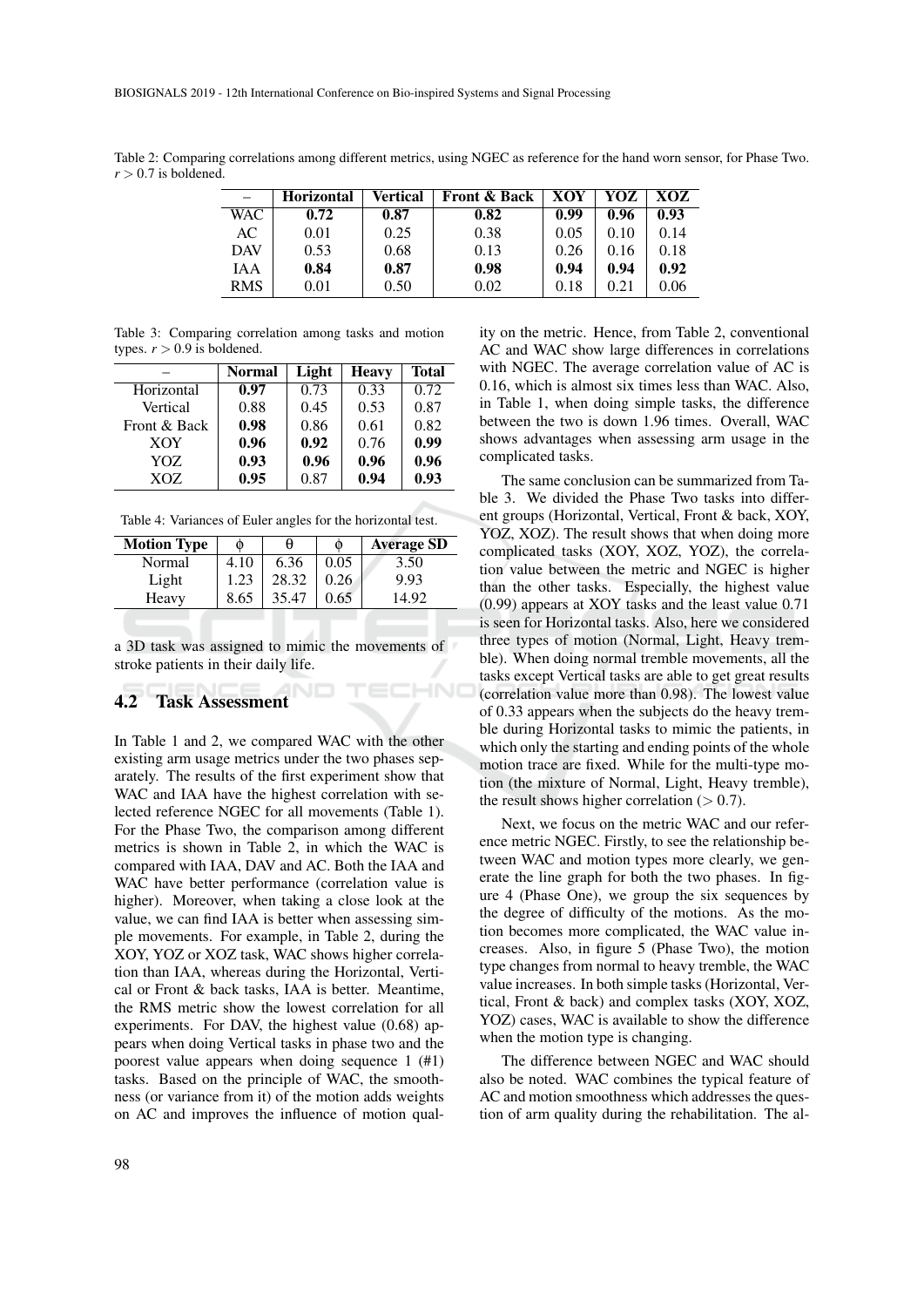Table 2: Comparing correlations among different metrics, using NGEC as reference for the hand worn sensor, for Phase Two.  $r > 0.7$  is boldened.

|            | <b>Horizontal</b> | Vertical | <b>Front &amp; Back</b> | XOY  | YOZ  | XOZ  |
|------------|-------------------|----------|-------------------------|------|------|------|
| WAC        | 0.72              | 0.87     | 0.82                    | 0.99 | 0.96 | 0.93 |
| AC         | 0.01              | 0.25     | 0.38                    | 0.05 | 0.10 | 0.14 |
| <b>DAV</b> | 0.53              | 0.68     | 0.13                    | 0.26 | 0.16 | 0.18 |
| <b>JAA</b> | 0.84              | 0.87     | 0.98                    | 0.94 | 0.94 | 0.92 |
| <b>RMS</b> | 0.01              | 0.50     | 0.02                    | 0.18 | 0.21 | 0.06 |

HN

Table 3: Comparing correlation among tasks and motion types.  $r > 0.9$  is boldened.

|              | Normal | Light | Heavy | Total |
|--------------|--------|-------|-------|-------|
| Horizontal   | 0.97   | 0.73  | 0.33  | 0.72  |
| Vertical     | 0.88   | 0.45  | 0.53  | 0.87  |
| Front & Back | 0.98   | 0.86  | 0.61  | 0.82  |
| <b>XOY</b>   | 0.96   | 0.92  | 0.76  | 0.99  |
| YOZ.         | 0.93   | 0.96  | 0.96  | 0.96  |
| XOZ          | 0.95   | 0.87  | 0.94  | 0.93  |

Table 4: Variances of Euler angles for the horizontal test.

| <b>Motion Type</b> | ⋒    | H     | ⋒    | <b>Average SD</b> |  |  |
|--------------------|------|-------|------|-------------------|--|--|
| Normal             | 4.10 | 6.36  | 0.05 | 3.50              |  |  |
| Light              | 1.23 | 28.32 | 0.26 | 9.93              |  |  |
| Heavy              | 8.65 | 35.47 | 0.65 | 14.92             |  |  |
|                    |      |       |      |                   |  |  |

a 3D task was assigned to mimic the movements of stroke patients in their daily life.

### 4.2 Task Assessment

In Table 1 and 2, we compared WAC with the other existing arm usage metrics under the two phases separately. The results of the first experiment show that WAC and IAA have the highest correlation with selected reference NGEC for all movements (Table 1). For the Phase Two, the comparison among different metrics is shown in Table 2, in which the WAC is compared with IAA, DAV and AC. Both the IAA and WAC have better performance (correlation value is higher). Moreover, when taking a close look at the value, we can find IAA is better when assessing simple movements. For example, in Table 2, during the XOY, YOZ or XOZ task, WAC shows higher correlation than IAA, whereas during the Horizontal, Vertical or Front & back tasks, IAA is better. Meantime, the RMS metric show the lowest correlation for all experiments. For DAV, the highest value (0.68) appears when doing Vertical tasks in phase two and the poorest value appears when doing sequence 1 (#1) tasks. Based on the principle of WAC, the smoothness (or variance from it) of the motion adds weights on AC and improves the influence of motion quality on the metric. Hence, from Table 2, conventional AC and WAC show large differences in correlations with NGEC. The average correlation value of AC is 0.16, which is almost six times less than WAC. Also, in Table 1, when doing simple tasks, the difference between the two is down 1.96 times. Overall, WAC shows advantages when assessing arm usage in the complicated tasks.

The same conclusion can be summarized from Table 3. We divided the Phase Two tasks into different groups (Horizontal, Vertical, Front & back, XOY, YOZ, XOZ). The result shows that when doing more complicated tasks (XOY, XOZ, YOZ), the correlation value between the metric and NGEC is higher than the other tasks. Especially, the highest value (0.99) appears at XOY tasks and the least value 0.71 is seen for Horizontal tasks. Also, here we considered three types of motion (Normal, Light, Heavy tremble). When doing normal tremble movements, all the tasks except Vertical tasks are able to get great results (correlation value more than 0.98). The lowest value of 0.33 appears when the subjects do the heavy tremble during Horizontal tasks to mimic the patients, in which only the starting and ending points of the whole motion trace are fixed. While for the multi-type motion (the mixture of Normal, Light, Heavy tremble), the result shows higher correlation  $(> 0.7)$ .

Next, we focus on the metric WAC and our reference metric NGEC. Firstly, to see the relationship between WAC and motion types more clearly, we generate the line graph for both the two phases. In figure 4 (Phase One), we group the six sequences by the degree of difficulty of the motions. As the motion becomes more complicated, the WAC value increases. Also, in figure 5 (Phase Two), the motion type changes from normal to heavy tremble, the WAC value increases. In both simple tasks (Horizontal, Vertical, Front & back) and complex tasks (XOY, XOZ, YOZ) cases, WAC is available to show the difference when the motion type is changing.

The difference between NGEC and WAC should also be noted. WAC combines the typical feature of AC and motion smoothness which addresses the question of arm quality during the rehabilitation. The al-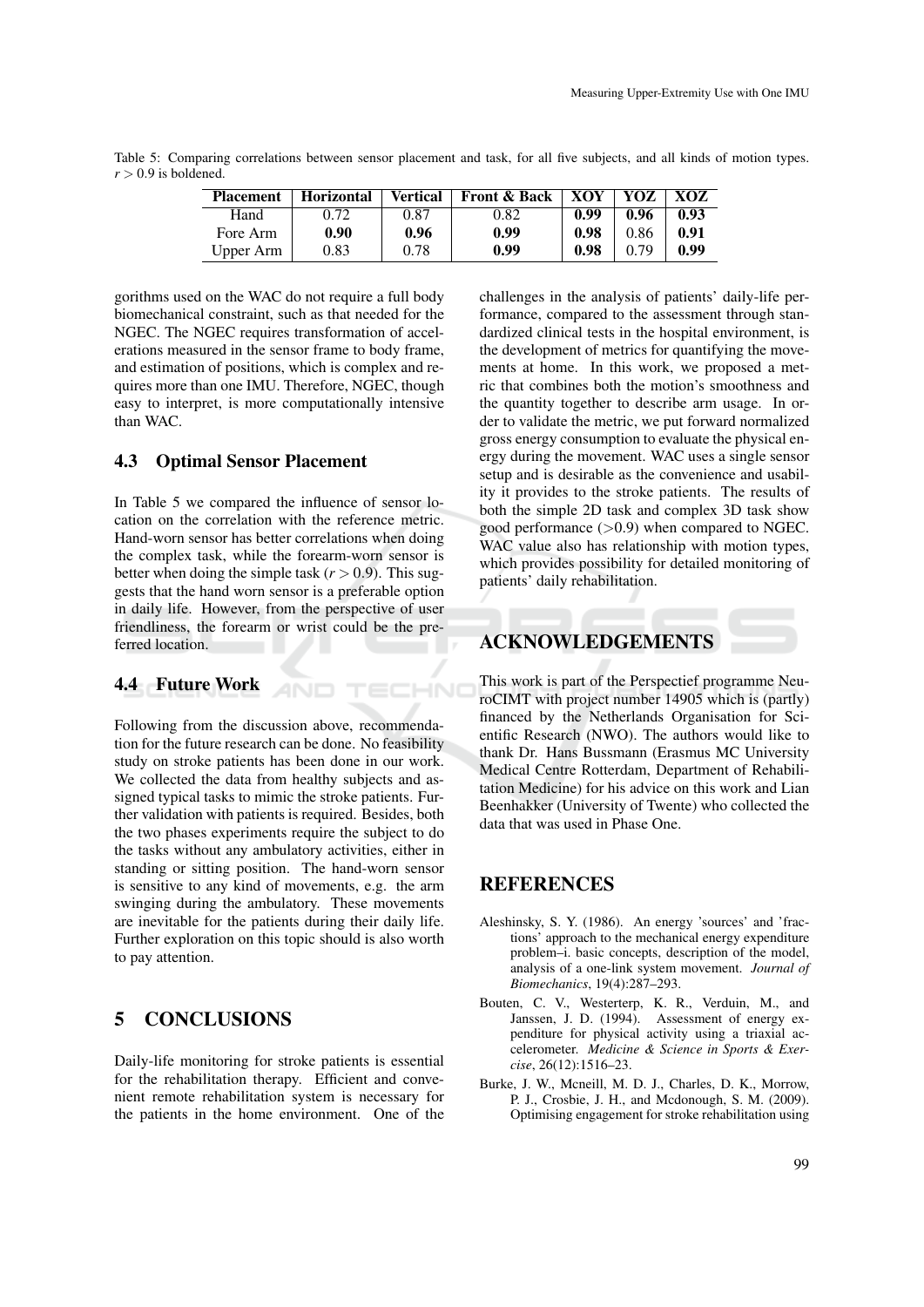Table 5: Comparing correlations between sensor placement and task, for all five subjects, and all kinds of motion types.  $r > 0.9$  is boldened.

| <b>Placement</b> | <b>Horizontal</b> | <b>Vertical</b> | <b>Front &amp; Back</b> | XOY  | YOZ  | XOZ  |
|------------------|-------------------|-----------------|-------------------------|------|------|------|
| Hand             | 0.72              | 0.87            | 0.82                    | 0.99 | 0.96 | 0.93 |
| Fore Arm         | 0.90              | 0.96            | 0.99                    | 0.98 | 0.86 | 0.91 |
| Upper Arm        | 0.83              | 0.78            | 0.99                    | 0.98 | 0.79 | 0.99 |

gorithms used on the WAC do not require a full body biomechanical constraint, such as that needed for the NGEC. The NGEC requires transformation of accelerations measured in the sensor frame to body frame, and estimation of positions, which is complex and requires more than one IMU. Therefore, NGEC, though easy to interpret, is more computationally intensive than WAC.

## 4.3 Optimal Sensor Placement

In Table 5 we compared the influence of sensor location on the correlation with the reference metric. Hand-worn sensor has better correlations when doing the complex task, while the forearm-worn sensor is better when doing the simple task  $(r > 0.9)$ . This suggests that the hand worn sensor is a preferable option in daily life. However, from the perspective of user friendliness, the forearm or wrist could be the preferred location.

AND

ECHN

### 4.4 Future Work

Following from the discussion above, recommendation for the future research can be done. No feasibility study on stroke patients has been done in our work. We collected the data from healthy subjects and assigned typical tasks to mimic the stroke patients. Further validation with patients is required. Besides, both the two phases experiments require the subject to do the tasks without any ambulatory activities, either in standing or sitting position. The hand-worn sensor is sensitive to any kind of movements, e.g. the arm swinging during the ambulatory. These movements are inevitable for the patients during their daily life. Further exploration on this topic should is also worth to pay attention.

### 5 CONCLUSIONS

Daily-life monitoring for stroke patients is essential for the rehabilitation therapy. Efficient and convenient remote rehabilitation system is necessary for the patients in the home environment. One of the challenges in the analysis of patients' daily-life performance, compared to the assessment through standardized clinical tests in the hospital environment, is the development of metrics for quantifying the movements at home. In this work, we proposed a metric that combines both the motion's smoothness and the quantity together to describe arm usage. In order to validate the metric, we put forward normalized gross energy consumption to evaluate the physical energy during the movement. WAC uses a single sensor setup and is desirable as the convenience and usability it provides to the stroke patients. The results of both the simple 2D task and complex 3D task show good performance  $(>0.9)$  when compared to NGEC. WAC value also has relationship with motion types, which provides possibility for detailed monitoring of patients' daily rehabilitation.

## ACKNOWLEDGEMENTS

This work is part of the Perspectief programme NeuroCIMT with project number 14905 which is (partly) financed by the Netherlands Organisation for Scientific Research (NWO). The authors would like to thank Dr. Hans Bussmann (Erasmus MC University Medical Centre Rotterdam, Department of Rehabilitation Medicine) for his advice on this work and Lian Beenhakker (University of Twente) who collected the data that was used in Phase One.

## **REFERENCES**

- Aleshinsky, S. Y. (1986). An energy 'sources' and 'fractions' approach to the mechanical energy expenditure problem–i. basic concepts, description of the model, analysis of a one-link system movement. *Journal of Biomechanics*, 19(4):287–293.
- Bouten, C. V., Westerterp, K. R., Verduin, M., and Janssen, J. D. (1994). Assessment of energy expenditure for physical activity using a triaxial accelerometer. *Medicine & Science in Sports & Exercise*, 26(12):1516–23.
- Burke, J. W., Mcneill, M. D. J., Charles, D. K., Morrow, P. J., Crosbie, J. H., and Mcdonough, S. M. (2009). Optimising engagement for stroke rehabilitation using